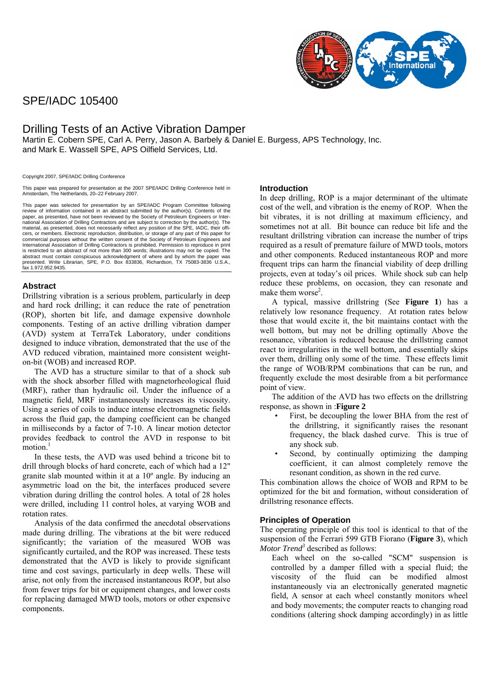# SPE/IADC 105400



# Drilling Tests of an Active Vibration Damper

Martin E. Cobern SPE, Carl A. Perry, Jason A. Barbely & Daniel E. Burgess, APS Technology, Inc. and Mark E. Wassell SPE, APS Oilfield Services, Ltd.

Copyright 2007, SPE/IADC Drilling Conference

This paper was prepared for presentation at the 2007 SPE/IADC Drilling Conference held in Amsterdam, The Netherlands, 20–22 February 2007.

This paper was selected for presentation by an SPE/IADC Program Committee following review of information contained in an abstract submitted by the author(s). Contents of the paper, as presented, have not been reviewed by the Society of Petroleum Engineers or International Association of Drilling Contractors and are subject to correction by the author(s). The material, as presented, does not necessarily reflect any position of the SPE, IADC, their offi-cers, or members. Electronic reproduction, distribution, or storage of any part of this paper for commercial purposes without the written consent of the Society of Petroleum Engineers and International Association of Drilling Contractors is prohibited. Permission to reproduce in print is restricted to an abstract of not more than 300 words; illustrations may not be copied. The<br>abstract must contain conspicuous acknowledgment of where and by whom the paper was<br>presented. Write Librarian, SPE, P.O. Box 83 fax 1.972.952.9435.

# **Abstract**

Drillstring vibration is a serious problem, particularly in deep and hard rock drilling; it can reduce the rate of penetration (ROP), shorten bit life, and damage expensive downhole components. Testing of an active drilling vibration damper (AVD) system at TerraTek Laboratory, under conditions designed to induce vibration, demonstrated that the use of the AVD reduced vibration, maintained more consistent weighton-bit (WOB) and increased ROP.

The AVD has a structure similar to that of a shock sub with the shock absorber filled with magnetorheological fluid (MRF), rather than hydraulic oil. Under the influence of a magnetic field, MRF instantaneously increases its viscosity. Using a series of coils to induce intense electromagnetic fields across the fluid gap, the damping coefficient can be changed in milliseconds by a factor of 7-10. A linear motion detector provides feedback to control the AVD in response to bit motion $1$ 

In these tests, the AVD was used behind a tricone bit to drill through blocks of hard concrete, each of which had a 12" granite slab mounted within it at a 10º angle. By inducing an asymmetric load on the bit, the interfaces produced severe vibration during drilling the control holes. A total of 28 holes were drilled, including 11 control holes, at varying WOB and rotation rates.

Analysis of the data confirmed the anecdotal observations made during drilling. The vibrations at the bit were reduced significantly; the variation of the measured WOB was significantly curtailed, and the ROP was increased. These tests demonstrated that the AVD is likely to provide significant time and cost savings, particularly in deep wells. These will arise, not only from the increased instantaneous ROP, but also from fewer trips for bit or equipment changes, and lower costs for replacing damaged MWD tools, motors or other expensive components.

#### **Introduction**

In deep drilling, ROP is a major determinant of the ultimate cost of the well, and vibration is the enemy of ROP. When the bit vibrates, it is not drilling at maximum efficiency, and sometimes not at all. Bit bounce can reduce bit life and the resultant drillstring vibration can increase the number of trips required as a result of premature failure of MWD tools, motors and other components. Reduced instantaneous ROP and more frequent trips can harm the financial viability of deep drilling projects, even at today's oil prices. While shock sub can help reduce these problems, on occasion, they can resonate and make them worse<sup>[2](#page-2-1)</sup>.

A typical, massive drillstring (See **[Figure 1](#page-3-0)**) has a relatively low resonance frequency. At rotation rates below those that would excite it, the bit maintains contact with the well bottom, but may not be drilling optimally Above the resonance, vibration is reduced because the drillstring cannot react to irregularities in the well bottom, and essentially skips over them, drilling only some of the time. These effects limit the range of WOB/RPM combinations that can be run, and frequently exclude the most desirable from a bit performance point of view.

The addition of the AVD has two effects on the drillstring response, as shown in :**[Figure 2](#page-3-1)**

- First, be decoupling the lower BHA from the rest of the drillstring, it significantly raises the resonant frequency, the black dashed curve. This is true of any shock sub.
- Second, by continually optimizing the damping coefficient, it can almost completely remove the resonant condition, as shown in the red curve.

This combination allows the choice of WOB and RPM to be optimized for the bit and formation, without consideration of drillstring resonance effects.

# **Principles of Operation**

The operating principle of this tool is identical to that of the suspension of the Ferrari 599 GTB Fiorano (**[Figure 3](#page-4-0)**), which Motor Trend<sup>3</sup> described as follows:

Each wheel on the so-called "SCM" suspension is controlled by a damper filled with a special fluid; the viscosity of the fluid can be modified almost instantaneously via an electronically generated magnetic field, A sensor at each wheel constantly monitors wheel and body movements; the computer reacts to changing road conditions (altering shock damping accordingly) in as little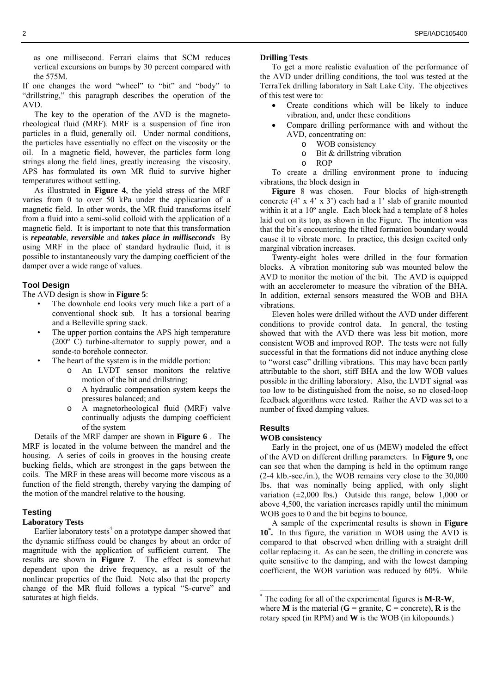as one millisecond. Ferrari claims that SCM reduces vertical excursions on bumps by 30 percent compared with the 575M.

If one changes the word "wheel" to "bit" and "body" to "drillstring," this paragraph describes the operation of the AVD.

The key to the operation of the AVD is the magnetorheological fluid (MRF). MRF is a suspension of fine iron particles in a fluid, generally oil. Under normal conditions, the particles have essentially no effect on the viscosity or the oil. In a magnetic field, however, the particles form long strings along the field lines, greatly increasing the viscosity. APS has formulated its own MR fluid to survive higher temperatures without settling.

As illustrated in **[Figure 4](#page-4-1)**, the yield stress of the MRF varies from 0 to over 50 kPa under the application of a magnetic field. In other words, the MR fluid transforms itself from a fluid into a semi-solid colloid with the application of a magnetic field. It is important to note that this transformation is *repeatable*, *reversible* and *takes place in milliseconds* By using MRF in the place of standard hydraulic fluid, it is possible to instantaneously vary the damping coefficient of the damper over a wide range of values.

#### **Tool Design**

The AVD design is show in **[Figure 5](#page-5-0)**:

- The downhole end looks very much like a part of a conventional shock sub. It has a torsional bearing and a Belleville spring stack.
- The upper portion contains the APS high temperature (200º C) turbine-alternator to supply power, and a sonde-to borehole connector.
- The heart of the system is in the middle portion:
	- o An LVDT sensor monitors the relative motion of the bit and drillstring;
	- o A hydraulic compensation system keeps the pressures balanced; and
	- o A magnetorheological fluid (MRF) valve continually adjusts the damping coefficient of the system

Details of the MRF damper are shown in **[Figure 6](#page-5-1)** . The MRF is located in the volume between the mandrel and the housing. A series of coils in grooves in the housing create bucking fields, which are strongest in the gaps between the coils. The MRF in these areas will become more viscous as a function of the field strength, thereby varying the damping of the motion of the mandrel relative to the housing.

# **Testing**

#### **Laboratory Tests**

Earlier laboratory tests<sup>4</sup> on a prototype damper showed that the dynamic stiffness could be changes by about an order of magnitude with the application of sufficient current. The results are shown in **[Figure 7](#page-6-0)**. The effect is somewhat dependent upon the drive frequency, as a result of the nonlinear properties of the fluid. Note also that the property change of the MR fluid follows a typical "S-curve" and saturates at high fields.

#### **Drilling Tests**

To get a more realistic evaluation of the performance of the AVD under drilling conditions, the tool was tested at the TerraTek drilling laboratory in Salt Lake City. The objectives of this test were to:

- Create conditions which will be likely to induce vibration, and, under these conditions
- Compare drilling performance with and without the AVD, concentrating on:
	- o WOB consistency
	- o Bit & drillstring vibration
	- o ROP

To create a drilling environment prone to inducing vibrations, the block design in

**[Figure](#page-6-1)** 8 was chosen. Four blocks of high-strength concrete  $(4' \times 4' \times 3')$  each had a 1' slab of granite mounted within it at a 10<sup>°</sup> angle. Each block had a template of 8 holes laid out on its top, as shown in the Figure. The intention was that the bit's encountering the tilted formation boundary would cause it to vibrate more. In practice, this design excited only marginal vibration increases.

Twenty-eight holes were drilled in the four formation blocks. A vibration monitoring sub was mounted below the AVD to monitor the motion of the bit. The AVD is equipped with an accelerometer to measure the vibration of the BHA. In addition, external sensors measured the WOB and BHA vibrations.

Eleven holes were drilled without the AVD under different conditions to provide control data. In general, the testing showed that with the AVD there was less bit motion, more consistent WOB and improved ROP. The tests were not fully successful in that the formations did not induce anything close to "worst case" drilling vibrations. This may have been partly attributable to the short, stiff BHA and the low WOB values possible in the drilling laboratory. Also, the LVDT signal was too low to be distinguished from the noise, so no closed-loop feedback algorithms were tested. Rather the AVD was set to a number of fixed damping values.

#### **Results**

 $\overline{a}$ 

#### **WOB consistency**

Early in the project, one of us (MEW) modeled the effect of the AVD on different drilling parameters. In **[Figure 9,](#page-7-0)** one can see that when the damping is held in the optimum range (2-4 klb.-sec./in.), the WOB remains very close to the 30,000 lbs. that was nominally being applied, with only slight variation  $(\pm 2,000 \text{ lbs.})$  Outside this range, below 1,000 or above 4,500, the variation increases rapidly until the minimum WOB goes to 0 and the bit begins to bounce.

A sample of the experimental results is shown in **[Figure](#page-7-1)  [10](#page-7-1)[\\*](#page-1-0) .** In this figure, the variation in WOB using the AVD is compared to that observed when drilling with a straight drill collar replacing it. As can be seen, the drilling in concrete was quite sensitive to the damping, and with the lowest damping coefficient, the WOB variation was reduced by 60%. While

<span id="page-1-0"></span><sup>\*</sup> The coding for all of the experimental figures is **M-R-W**, where **M** is the material ( $G =$  granite,  $C =$  concrete), **R** is the rotary speed (in RPM) and **W** is the WOB (in kilopounds.)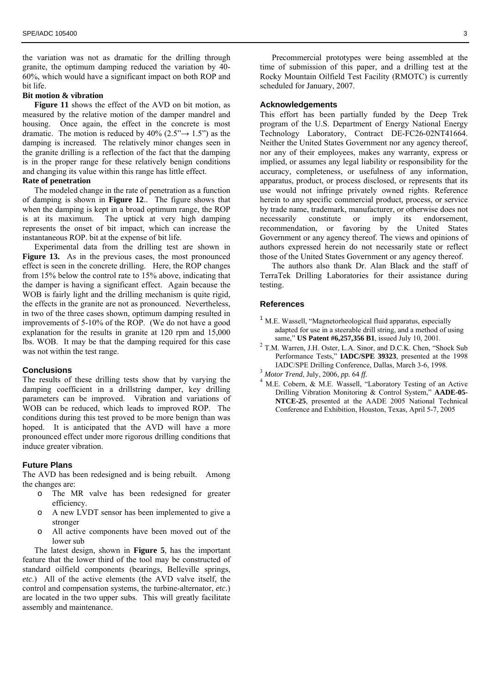the variation was not as dramatic for the drilling through granite, the optimum damping reduced the variation by 40- 60%, which would have a significant impact on both ROP and bit life.

#### **Bit motion & vibration**

**[Figure 11](#page-8-0)** shows the effect of the AVD on bit motion, as measured by the relative motion of the damper mandrel and housing. Once again, the effect in the concrete is most dramatic. The motion is reduced by 40% (2.5" $\rightarrow$  1.5") as the damping is increased. The relatively minor changes seen in the granite drilling is a reflection of the fact that the damping is in the proper range for these relatively benign conditions and changing its value within this range has little effect.

#### **Rate of penetration**

The modeled change in the rate of penetration as a function of damping is shown in **[Figure 12](#page-8-1)**.. The figure shows that when the damping is kept in a broad optimum range, the ROP is at its maximum. The uptick at very high damping represents the onset of bit impact, which can increase the instantaneous ROP. bit at the expense of bit life.

Experimental data from the drilling test are shown in [Figure 13.](#page-9-0) As in the previous cases, the most pronounced effect is seen in the concrete drilling. Here, the ROP changes from 15% below the control rate to 15% above, indicating that the damper is having a significant effect. Again because the WOB is fairly light and the drilling mechanism is quite rigid, the effects in the granite are not as pronounced. Nevertheless, in two of the three cases shown, optimum damping resulted in improvements of 5-10% of the ROP. (We do not have a good explanation for the results in granite at 120 rpm and 15,000 lbs. WOB. It may be that the damping required for this case was not within the test range.

#### **Conclusions**

The results of these drilling tests show that by varying the damping coefficient in a drillstring damper, key drilling parameters can be improved. Vibration and variations of WOB can be reduced, which leads to improved ROP. The conditions during this test proved to be more benign than was hoped. It is anticipated that the AVD will have a more pronounced effect under more rigorous drilling conditions that induce greater vibration.

#### **Future Plans**

The AVD has been redesigned and is being rebuilt. Among the changes are:

- o The MR valve has been redesigned for greater efficiency.
- o A new LVDT sensor has been implemented to give a stronger
- o All active components have been moved out of the lower sub

The latest design, shown in **[Figure 5](#page-5-0)**, has the important feature that the lower third of the tool may be constructed of standard oilfield components (bearings, Belleville springs, *etc*.) All of the active elements (the AVD valve itself, the control and compensation systems, the turbine-alternator, *etc*.) are located in the two upper subs. This will greatly facilitate assembly and maintenance.

Precommercial prototypes were being assembled at the time of submission of this paper, and a drilling test at the Rocky Mountain Oilfield Test Facility (RMOTC) is currently scheduled for January, 2007.

#### **Acknowledgements**

This effort has been partially funded by the Deep Trek program of the U.S. Department of Energy National Energy Technology Laboratory, Contract DE-FC26-02NT41664. Neither the United States Government nor any agency thereof, nor any of their employees, makes any warranty, express or implied, or assumes any legal liability or responsibility for the accuracy, completeness, or usefulness of any information, apparatus, product, or process disclosed, or represents that its use would not infringe privately owned rights. Reference herein to any specific commercial product, process, or service by trade name, trademark, manufacturer, or otherwise does not necessarily constitute or imply its endorsement, recommendation, or favoring by the United States Government or any agency thereof. The views and opinions of authors expressed herein do not necessarily state or reflect those of the United States Government or any agency thereof.

The authors also thank Dr. Alan Black and the staff of TerraTek Drilling Laboratories for their assistance during testing.

#### **References**

- <span id="page-2-0"></span><sup>1</sup> M.E. Wassell, "Magnetorheological fluid apparatus, especially adapted for use in a steerable drill string, and a method of using same," **US Patent #6,257,356 B1**, issued July 10, 2001. <sup>2</sup>
- <span id="page-2-1"></span> T.M. Warren, J.H. Oster, L.A. Sinor, and D.C.K. Chen, "Shock Sub Performance Tests," **IADC/SPE 39323**, presented at the 1998 IADC/SPE Drilling Conference, Dallas, March 3-6, 1998. 3 *Motor Trend*, July, 2006, *pp.* 64 *ff.*<sup>4</sup>
- <span id="page-2-2"></span>
- <span id="page-2-3"></span><sup>4</sup> M.E. Cobern, & M.E. Wassell, "Laboratory Testing of an Active Drilling Vibration Monitoring & Control System," **AADE-05- NTCE-25**, presented at the AADE 2005 National Technical Conference and Exhibition, Houston, Texas, April 5-7, 2005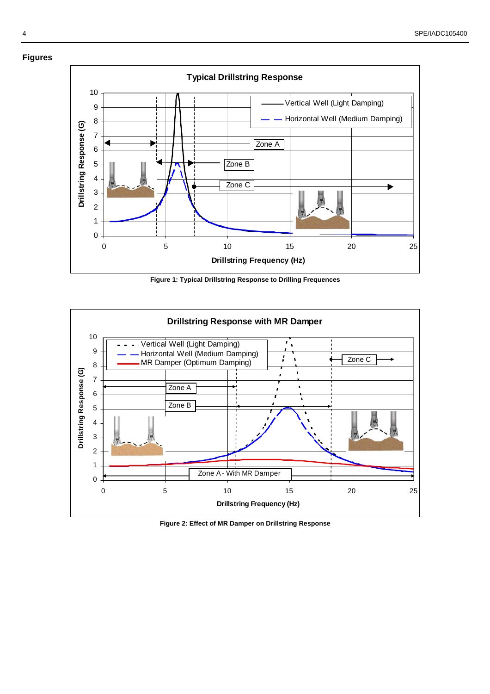<span id="page-3-0"></span>

<span id="page-3-1"></span>**Figure 1: Typical Drillstring Response to Drilling Frequences** 



**Figure 2: Effect of MR Damper on Drillstring Response**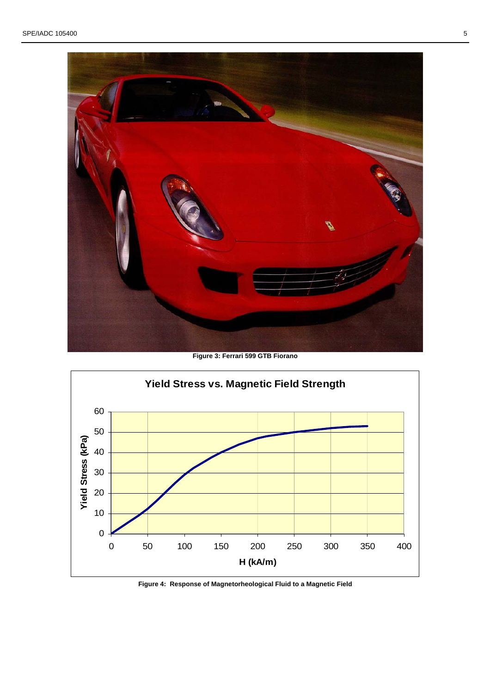<span id="page-4-0"></span>

**Figure 3: Ferrari 599 GTB Fiorano** 

<span id="page-4-1"></span>

**Figure 4: Response of Magnetorheological Fluid to a Magnetic Field**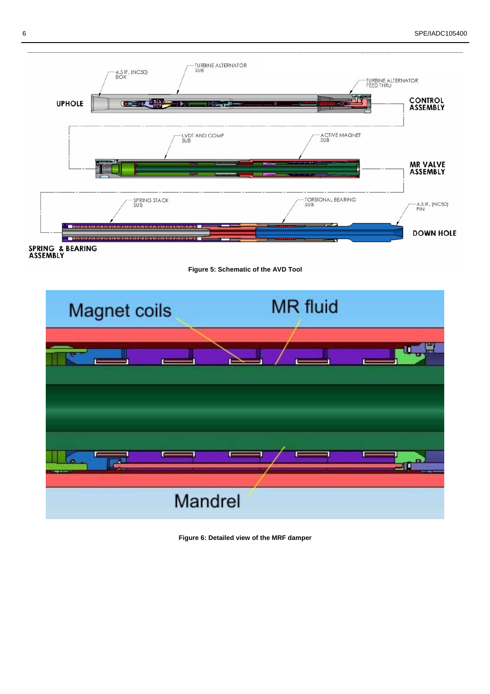

SPRING & BEARING

<span id="page-5-1"></span><span id="page-5-0"></span>



**Figure 6: Detailed view of the MRF damper**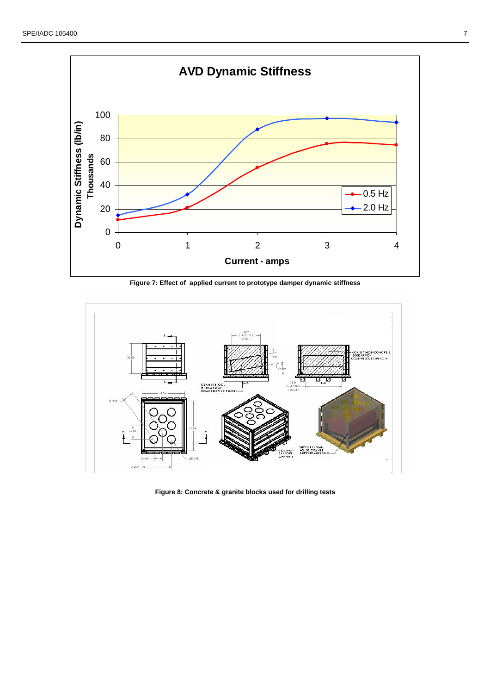<span id="page-6-0"></span>

**Figure 7: Effect of applied current to prototype damper dynamic stiffness** 



<span id="page-6-1"></span>**Figure 8: Concrete & granite blocks used for drilling tests**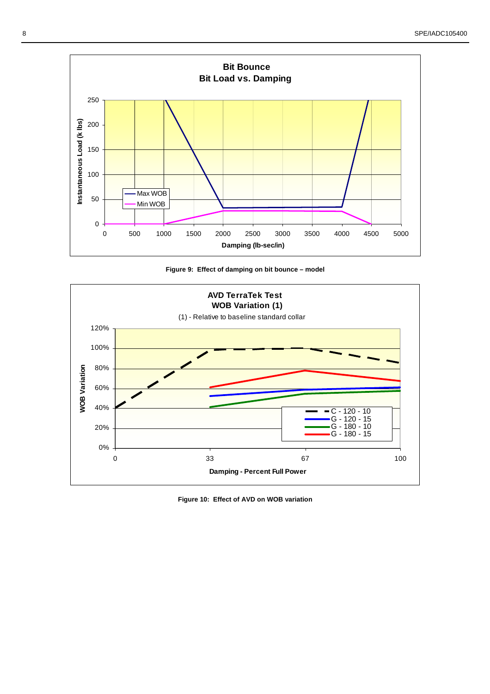<span id="page-7-0"></span>

<span id="page-7-1"></span>



**Figure 10: Effect of AVD on WOB variation**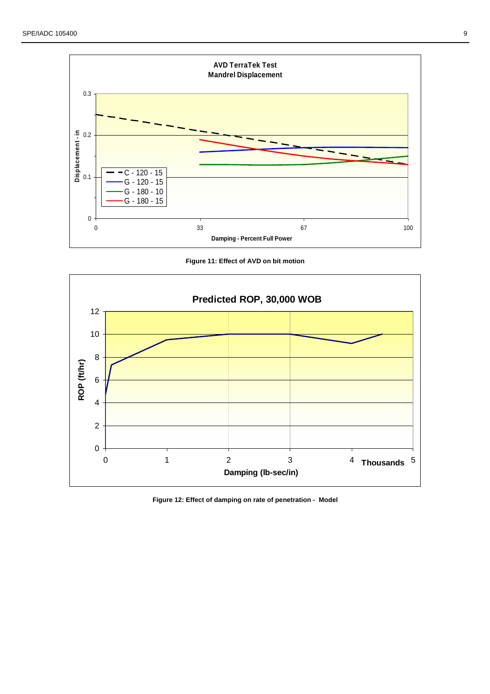<span id="page-8-0"></span>

<span id="page-8-1"></span>**Figure 11: Effect of AVD on bit motion** 



**Figure 12: Effect of damping on rate of penetration - Model**